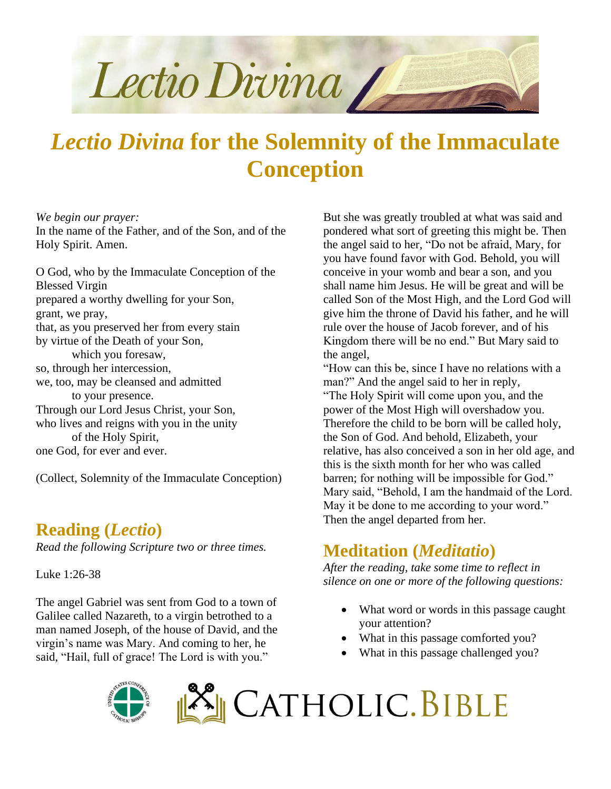

# *Lectio Divina* **for the Solemnity of the Immaculate Conception**

*We begin our prayer:* In the name of the Father, and of the Son, and of the Holy Spirit. Amen.

O God, who by the Immaculate Conception of the Blessed Virgin prepared a worthy dwelling for your Son, grant, we pray, that, as you preserved her from every stain by virtue of the Death of your Son, which you foresaw, so, through her intercession, we, too, may be cleansed and admitted to your presence. Through our Lord Jesus Christ, your Son, who lives and reigns with you in the unity of the Holy Spirit, one God, for ever and ever.

(Collect, Solemnity of the Immaculate Conception)

### **Reading (***Lectio***)**

*Read the following Scripture two or three times.*

Luke 1:26-38

The angel Gabriel was sent from God to a town of Galilee called Nazareth, to a virgin betrothed to a man named Joseph, of the house of David, and the virgin's name was Mary. And coming to her, he said, "Hail, full of grace! The Lord is with you."

But she was greatly troubled at what was said and pondered what sort of greeting this might be. Then the angel said to her, "Do not be afraid, Mary, for you have found favor with God. Behold, you will conceive in your womb and bear a son, and you shall name him Jesus. He will be great and will be called Son of the Most High, and the Lord God will give him the throne of David his father, and he will rule over the house of Jacob forever, and of his Kingdom there will be no end." But Mary said to the angel,

"How can this be, since I have no relations with a man?" And the angel said to her in reply, "The Holy Spirit will come upon you, and the power of the Most High will overshadow you. Therefore the child to be born will be called holy, the Son of God. And behold, Elizabeth, your relative, has also conceived a son in her old age, and this is the sixth month for her who was called barren; for nothing will be impossible for God." Mary said, "Behold, I am the handmaid of the Lord. May it be done to me according to your word." Then the angel departed from her.

# **Meditation (***Meditatio***)**

*After the reading, take some time to reflect in silence on one or more of the following questions:*

- What word or words in this passage caught your attention?
- What in this passage comforted you?
- What in this passage challenged you?